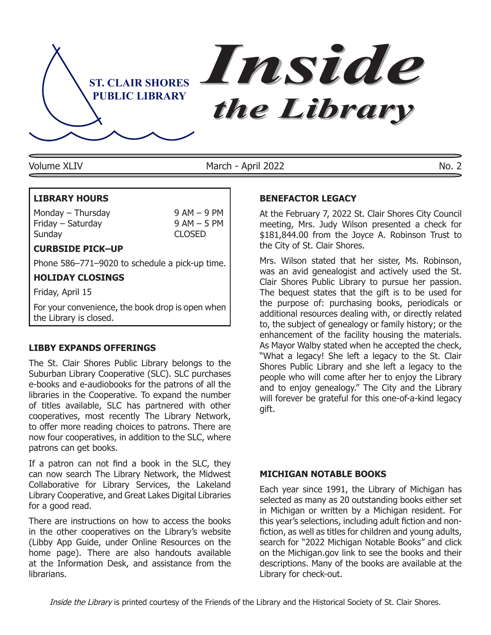

March - April 2022 Volume XLIV No. 2

# **LIBRARY HOURS**

Monday – Thursday  $9 AM - 9 PM$ Friday – Saturday 19 AM – 5 PM<br>Sunday 19 CLOSED Sunday

# **Curbside Pick–Up**

Phone 586–771–9020 to schedule a pick-up time.

# **HOLIDAY CLOSINGS**

Friday, April 15

For your convenience, the book drop is open when the Library is closed.

# **LIBBY EXPANDS OFFERINGS**

The St. Clair Shores Public Library belongs to the Suburban Library Cooperative (SLC). SLC purchases e-books and e-audiobooks for the patrons of all the libraries in the Cooperative. To expand the number of titles available, SLC has partnered with other cooperatives, most recently The Library Network, to offer more reading choices to patrons. There are now four cooperatives, in addition to the SLC, where patrons can get books.

If a patron can not find a book in the SLC, they can now search The Library Network, the Midwest Collaborative for Library Services, the Lakeland Library Cooperative, and Great Lakes Digital Libraries for a good read.

There are instructions on how to access the books in the other cooperatives on the Library's website (Libby App Guide, under Online Resources on the home page). There are also handouts available at the Information Desk, and assistance from the librarians.

# **Benefactor Legacy**

At the February 7, 2022 St. Clair Shores City Council meeting, Mrs. Judy Wilson presented a check for \$181,844.00 from the Joyce A. Robinson Trust to the City of St. Clair Shores.

Mrs. Wilson stated that her sister, Ms. Robinson, was an avid genealogist and actively used the St. Clair Shores Public Library to pursue her passion. The bequest states that the gift is to be used for the purpose of: purchasing books, periodicals or additional resources dealing with, or directly related to, the subject of genealogy or family history; or the enhancement of the facility housing the materials. As Mayor Walby stated when he accepted the check, "What a legacy! She left a legacy to the St. Clair Shores Public Library and she left a legacy to the people who will come after her to enjoy the Library and to enjoy genealogy." The City and the Library will forever be grateful for this one-of-a-kind legacy gift.

## **MICHIGAN NOTABLE BOOKS**

Each year since 1991, the Library of Michigan has selected as many as 20 outstanding books either set in Michigan or written by a Michigan resident. For this year's selections, including adult fiction and nonfiction, as well as titles for children and young adults, search for "2022 Michigan Notable Books" and click on the Michigan.gov link to see the books and their descriptions. Many of the books are available at the Library for check-out.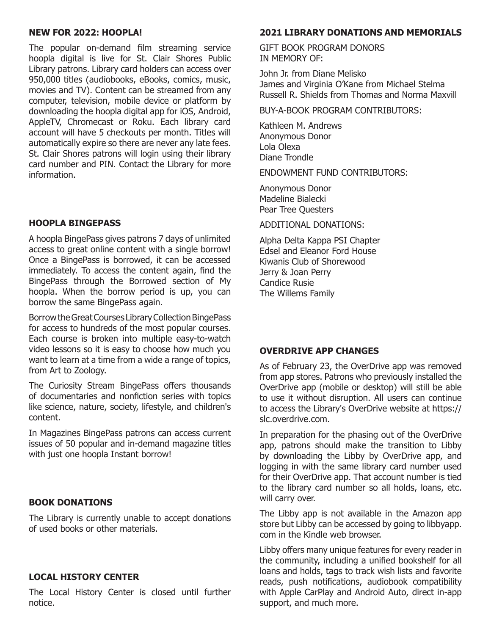#### **NEW FOR 2022: HOOPLA!**

The popular on-demand film streaming service hoopla digital is live for St. Clair Shores Public Library patrons. Library card holders can access over 950,000 titles (audiobooks, eBooks, comics, music, movies and TV). Content can be streamed from any computer, television, mobile device or platform by downloading the hoopla digital app for iOS, Android, AppleTV, Chromecast or Roku. Each library card account will have 5 checkouts per month. Titles will automatically expire so there are never any late fees. St. Clair Shores patrons will login using their library card number and PIN. Contact the Library for more information.

# **hoopla BingePass**

A hoopla BingePass gives patrons 7 days of unlimited access to great online content with a single borrow! Once a BingePass is borrowed, it can be accessed immediately. To access the content again, find the BingePass through the Borrowed section of My hoopla. When the borrow period is up, you can borrow the same BingePass again.

Borrow the Great Courses Library Collection BingePass for access to hundreds of the most popular courses. Each course is broken into multiple easy-to-watch video lessons so it is easy to choose how much you want to learn at a time from a wide a range of topics, from Art to Zoology.

The Curiosity Stream BingePass offers thousands of documentaries and nonfiction series with topics like science, nature, society, lifestyle, and children's content.

In Magazines BingePass patrons can access current issues of 50 popular and in-demand magazine titles with just one hoopla Instant borrow!

# **BOOK DONATIONS**

The Library is currently unable to accept donations of used books or other materials.

#### **Local History Center**

The Local History Center is closed until further notice.

### **2021 Library DONATIONS AND MEMORIALS**

GIFT BOOK PROGRAM DONORS IN MEMORY OF:

John Jr. from Diane Melisko James and Virginia O'Kane from Michael Stelma Russell R. Shields from Thomas and Norma Maxvill

BUY-A-BOOK PROGRAM CONTRIBUTORS:

Kathleen M. Andrews Anonymous Donor Lola Olexa Diane Trondle

ENDOWMENT FUND CONTRIBUTORS:

Anonymous Donor Madeline Bialecki Pear Tree Questers

ADDITIONAL DONATIONS:

Alpha Delta Kappa PSI Chapter Edsel and Eleanor Ford House Kiwanis Club of Shorewood Jerry & Joan Perry Candice Rusie The Willems Family

## **OverDrive App Changes**

As of February 23, the OverDrive app was removed from app stores. Patrons who previously installed the OverDrive app (mobile or desktop) will still be able to use it without disruption. All users can continue to access the Library's OverDrive website at https:// slc.overdrive.com.

In preparation for the phasing out of the OverDrive app, patrons should make the transition to Libby by downloading the Libby by OverDrive app, and logging in with the same library card number used for their OverDrive app. That account number is tied to the library card number so all holds, loans, etc. will carry over.

The Libby app is not available in the Amazon app store but Libby can be accessed by going to libbyapp. com in the Kindle web browser.

Libby offers many unique features for every reader in the community, including a unified bookshelf for all loans and holds, tags to track wish lists and favorite reads, push notifications, audiobook compatibility with Apple CarPlay and Android Auto, direct in-app support, and much more.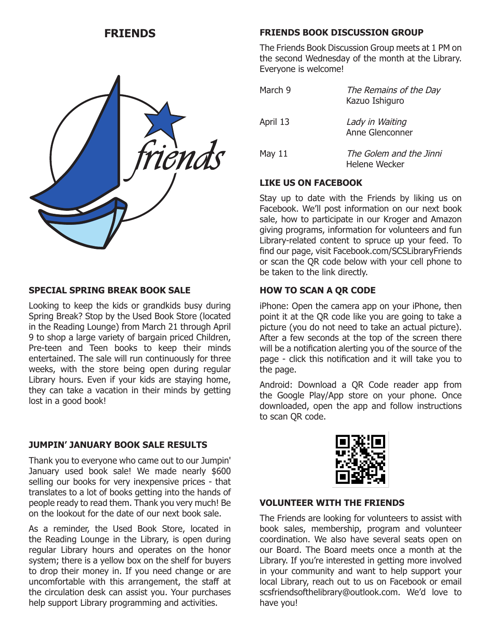

# **SPECIAL SPRING BREAK BOOK SALE**

Looking to keep the kids or grandkids busy during Spring Break? Stop by the Used Book Store (located in the Reading Lounge) from March 21 through April 9 to shop a large variety of bargain priced Children, Pre-teen and Teen books to keep their minds entertained. The sale will run continuously for three weeks, with the store being open during regular Library hours. Even if your kids are staying home, they can take a vacation in their minds by getting lost in a good book!

# **JUMPIN' JANUARY BOOK SALE RESULTS**

Thank you to everyone who came out to our Jumpin' January used book sale! We made nearly \$600 selling our books for very inexpensive prices - that translates to a lot of books getting into the hands of people ready to read them. Thank you very much! Be on the lookout for the date of our next book sale.

As a reminder, the Used Book Store, located in the Reading Lounge in the Library, is open during regular Library hours and operates on the honor system; there is a yellow box on the shelf for buyers to drop their money in. If you need change or are uncomfortable with this arrangement, the staff at the circulation desk can assist you. Your purchases help support Library programming and activities.

# **FRIENDS FRIENDS BOOK DISCUSSION GROUP**

The Friends Book Discussion Group meets at 1 PM on the second Wednesday of the month at the Library. Everyone is welcome!

| March 9  | The Remains of the Day<br>Kazuo Ishiguro |  |
|----------|------------------------------------------|--|
| April 13 | Lady in Waiting<br>Anne Glenconner       |  |
| May 11   | The Golem and the Jinni<br>Helene Wecker |  |

# **LIKE US ON FACEBOOK**

Stay up to date with the Friends by liking us on Facebook. We'll post information on our next book sale, how to participate in our Kroger and Amazon giving programs, information for volunteers and fun Library-related content to spruce up your feed. To find our page, visit Facebook.com/SCSLibraryFriends or scan the QR code below with your cell phone to be taken to the link directly.

# **How to Scan a QR Code**

iPhone: Open the camera app on your iPhone, then point it at the QR code like you are going to take a picture (you do not need to take an actual picture). After a few seconds at the top of the screen there will be a notification alerting you of the source of the page - click this notification and it will take you to the page.

Android: Download a QR Code reader app from the Google Play/App store on your phone. Once downloaded, open the app and follow instructions to scan QR code.



## **VOLUNTEER WITH THE FRIENDS**

The Friends are looking for volunteers to assist with book sales, membership, program and volunteer coordination. We also have several seats open on our Board. The Board meets once a month at the Library. If you're interested in getting more involved in your community and want to help support your local Library, reach out to us on Facebook or email scsfriendsofthelibrary@outlook.com. We'd love to have you!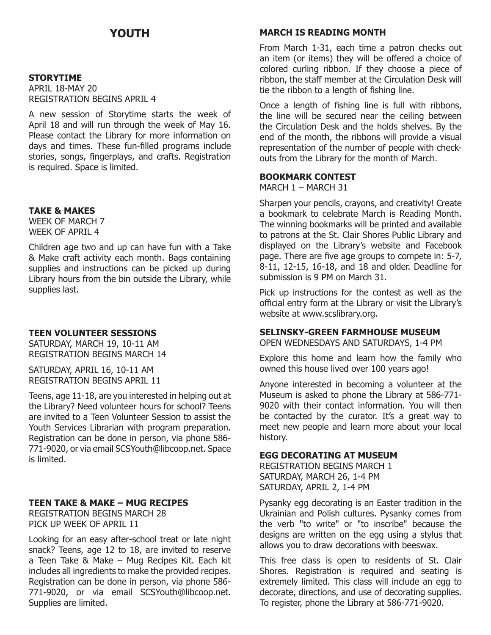# **Youth**

#### **STORYTIME**

APRIL 18-MAY 20 REGISTRATION BEGINS APRIL 4

A new session of Storytime starts the week of April 18 and will run through the week of May 16. Please contact the Library for more information on days and times. These fun-filled programs include stories, songs, fingerplays, and crafts. Registration is required. Space is limited.

#### **TAKE & MAKES**

WEEK OF MARCH 7 WEEK OF APRIL 4

Children age two and up can have fun with a Take & Make craft activity each month. Bags containing supplies and instructions can be picked up during Library hours from the bin outside the Library, while supplies last.

#### **TEEN VOLUNTEER SESSIONS**

SATURDAY, MARCH 19, 10-11 AM REGISTRATION BEGINS MARCH 14

SATURDAY, APRIL 16, 10-11 AM REGISTRATION BEGINS APRIL 11

Teens, age 11-18, are you interested in helping out at the Library? Need volunteer hours for school? Teens are invited to a Teen Volunteer Session to assist the Youth Services Librarian with program preparation. Registration can be done in person, via phone 586- 771-9020, or via email SCSYouth@libcoop.net. Space is limited.

## **TEEN TAKE & MAKE – MUG RECIPES**

REGISTRATION BEGINS MARCH 28 PICK UP WEEK OF APRIL 11

Looking for an easy after-school treat or late night snack? Teens, age 12 to 18, are invited to reserve a Teen Take & Make – Mug Recipes Kit. Each kit includes all ingredients to make the provided recipes. Registration can be done in person, via phone 586- 771-9020, or via email SCSYouth@libcoop.net. Supplies are limited.

#### **MARCH IS READING MONTH**

From March 1-31, each time a patron checks out an item (or items) they will be offered a choice of colored curling ribbon. If they choose a piece of ribbon, the staff member at the Circulation Desk will tie the ribbon to a length of fishing line.

Once a length of fishing line is full with ribbons, the line will be secured near the ceiling between the Circulation Desk and the holds shelves. By the end of the month, the ribbons will provide a visual representation of the number of people with checkouts from the Library for the month of March.

### **BOOKMARK CONTEST**

MARCH 1 – MARCH 31

Sharpen your pencils, crayons, and creativity! Create a bookmark to celebrate March is Reading Month. The winning bookmarks will be printed and available to patrons at the St. Clair Shores Public Library and displayed on the Library's website and Facebook page. There are five age groups to compete in: 5-7, 8-11, 12-15, 16-18, and 18 and older. Deadline for submission is 9 PM on March 31.

Pick up instructions for the contest as well as the official entry form at the Library or visit the Library's website at www.scslibrary.org.

#### **SELINSKY-GREEN FARMHOUSE MUSEUM**

OPEN WEDNESDAYS and SATURDAYS, 1-4 PM

Explore this home and learn how the family who owned this house lived over 100 years ago!

Anyone interested in becoming a volunteer at the Museum is asked to phone the Library at 586-771- 9020 with their contact information. You will then be contacted by the curator. It's a great way to meet new people and learn more about your local history.

#### **EGG DECORATING at Museum**

REGISTRATION BEGINS MARCH 1 SATURDAY, MARCH 26, 1-4 PM SATURDAY, APRIL 2, 1-4 PM

Pysanky egg decorating is an Easter tradition in the Ukrainian and Polish cultures. Pysanky comes from the verb "to write" or "to inscribe" because the designs are written on the egg using a stylus that allows you to draw decorations with beeswax.

This free class is open to residents of St. Clair Shores. Registration is required and seating is extremely limited. This class will include an egg to decorate, directions, and use of decorating supplies. To register, phone the Library at 586-771-9020.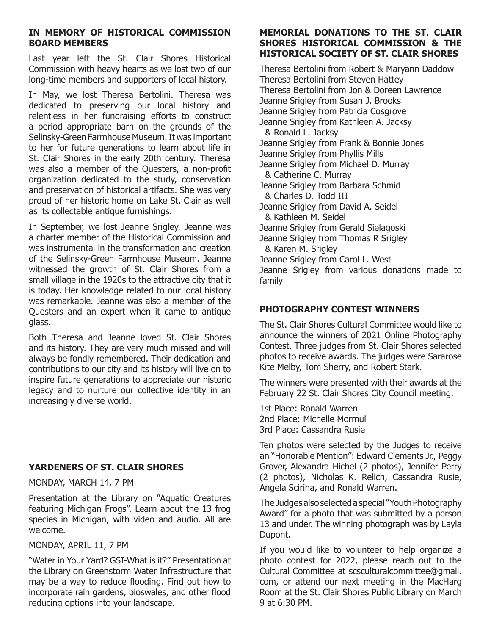# **In Memory Of Historical Commission Board Members**

Last year left the St. Clair Shores Historical Commission with heavy hearts as we lost two of our long-time members and supporters of local history.

In May, we lost Theresa Bertolini. Theresa was dedicated to preserving our local history and relentless in her fundraising efforts to construct a period appropriate barn on the grounds of the Selinsky-Green Farmhouse Museum. It was important to her for future generations to learn about life in St. Clair Shores in the early 20th century. Theresa was also a member of the Questers, a non-profit organization dedicated to the study, conservation and preservation of historical artifacts. She was very proud of her historic home on Lake St. Clair as well as its collectable antique furnishings.

In September, we lost Jeanne Srigley. Jeanne was a charter member of the Historical Commission and was instrumental in the transformation and creation of the Selinsky-Green Farmhouse Museum. Jeanne witnessed the growth of St. Clair Shores from a small village in the 1920s to the attractive city that it is today. Her knowledge related to our local history was remarkable. Jeanne was also a member of the Questers and an expert when it came to antique glass.

Both Theresa and Jeanne loved St. Clair Shores and its history. They are very much missed and will always be fondly remembered. Their dedication and contributions to our city and its history will live on to inspire future generations to appreciate our historic legacy and to nurture our collective identity in an increasingly diverse world.

# **YARDENERS OF ST. CLAIR SHORES**

MONDAY, MARCH 14, 7 PM

Presentation at the Library on "Aquatic Creatures featuring Michigan Frogs". Learn about the 13 frog species in Michigan, with video and audio. All are welcome.

MONDAY, APRIL 11, 7 PM

"Water in Your Yard? GSI-What is it?" Presentation at the Library on Greenstorm Water Infrastructure that may be a way to reduce flooding. Find out how to incorporate rain gardens, bioswales, and other flood reducing options into your landscape.

# **MEMORIAL DONATIONS to THE ST. CLAIR SHORES HISTORICAL COMMISSION & THE HISTORICAL SOCIETY OF ST. CLAIR SHORES**

Theresa Bertolini from Robert & Maryann Daddow Theresa Bertolini from Steven Hattey Theresa Bertolini from Jon & Doreen Lawrence Jeanne Srigley from Susan J. Brooks Jeanne Srigley from Patricia Cosgrove Jeanne Srigley from Kathleen A. Jacksy & Ronald L. Jacksy Jeanne Srigley from Frank & Bonnie Jones Jeanne Srigley from Phyllis Mills Jeanne Srigley from Michael D. Murray & Catherine C. Murray Jeanne Srigley from Barbara Schmid & Charles D. Todd III Jeanne Srigley from David A. Seidel & Kathleen M. Seidel Jeanne Srigley from Gerald Sielagoski Jeanne Srigley from Thomas R Srigley & Karen M. Srigley Jeanne Srigley from Carol L. West Jeanne Srigley from various donations made to family

# **Photography Contest Winners**

The St. Clair Shores Cultural Committee would like to announce the winners of 2021 Online Photography Contest. Three judges from St. Clair Shores selected photos to receive awards. The judges were Sararose Kite Melby, Tom Sherry, and Robert Stark.

The winners were presented with their awards at the February 22 St. Clair Shores City Council meeting.

1st Place: Ronald Warren 2nd Place: Michelle Mormul 3rd Place: Cassandra Rusie

Ten photos were selected by the Judges to receive an "Honorable Mention": Edward Clements Jr., Peggy Grover, Alexandra Hichel (2 photos), Jennifer Perry (2 photos), Nicholas K. Relich, Cassandra Rusie, Angela Sciriha, and Ronald Warren.

The Judges also selected a special "Youth Photography Award" for a photo that was submitted by a person 13 and under. The winning photograph was by Layla Dupont.

If you would like to volunteer to help organize a photo contest for 2022, please reach out to the Cultural Committee at scsculturalcommittee@gmail. com, or attend our next meeting in the MacHarg Room at the St. Clair Shores Public Library on March 9 at 6:30 PM.